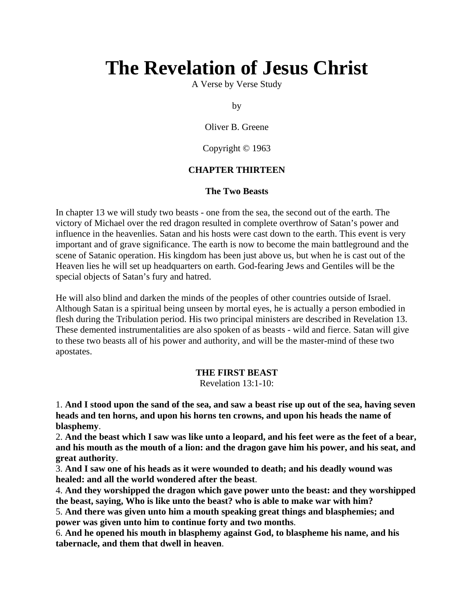# **The Revelation of Jesus Christ**

A Verse by Verse Study

by

Oliver B. Greene

Copyright © 1963

## **CHAPTER THIRTEEN**

#### **The Two Beasts**

In chapter 13 we will study two beasts - one from the sea, the second out of the earth. The victory of Michael over the red dragon resulted in complete overthrow of Satan's power and influence in the heavenlies. Satan and his hosts were cast down to the earth. This event is very important and of grave significance. The earth is now to become the main battleground and the scene of Satanic operation. His kingdom has been just above us, but when he is cast out of the Heaven lies he will set up headquarters on earth. God-fearing Jews and Gentiles will be the special objects of Satan's fury and hatred.

He will also blind and darken the minds of the peoples of other countries outside of Israel. Although Satan is a spiritual being unseen by mortal eyes, he is actually a person embodied in flesh during the Tribulation period. His two principal ministers are described in Revelation 13. These demented instrumentalities are also spoken of as beasts - wild and fierce. Satan will give to these two beasts all of his power and authority, and will be the master-mind of these two apostates.

#### **THE FIRST BEAST**

Revelation 13:1-10:

1. **And I stood upon the sand of the sea, and saw a beast rise up out of the sea, having seven heads and ten horns, and upon his horns ten crowns, and upon his heads the name of blasphemy**.

2. **And the beast which I saw was like unto a leopard, and his feet were as the feet of a bear, and his mouth as the mouth of a lion: and the dragon gave him his power, and his seat, and great authority**.

3. **And I saw one of his heads as it were wounded to death; and his deadly wound was healed: and all the world wondered after the beast**.

4. **And they worshipped the dragon which gave power unto the beast: and they worshipped the beast, saying, Who is like unto the beast? who is able to make war with him?**

5. **And there was given unto him a mouth speaking great things and blasphemies; and power was given unto him to continue forty and two months**.

6. **And he opened his mouth in blasphemy against God, to blaspheme his name, and his tabernacle, and them that dwell in heaven**.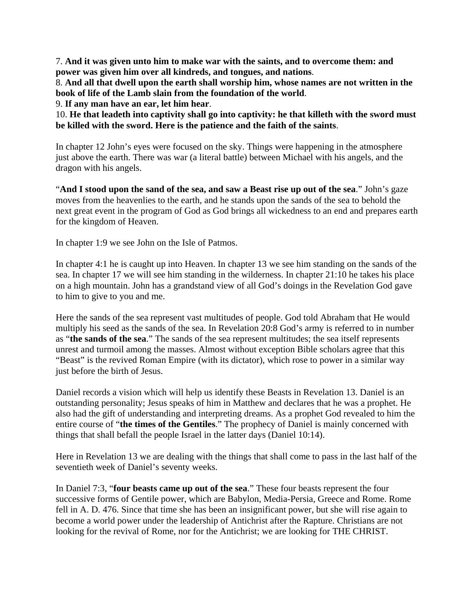7. **And it was given unto him to make war with the saints, and to overcome them: and power was given him over all kindreds, and tongues, and nations**.

8. **And all that dwell upon the earth shall worship him, whose names are not written in the book of life of the Lamb slain from the foundation of the world**.

9. **If any man have an ear, let him hear**.

10. **He that leadeth into captivity shall go into captivity: he that killeth with the sword must be killed with the sword. Here is the patience and the faith of the saints**.

In chapter 12 John's eyes were focused on the sky. Things were happening in the atmosphere just above the earth. There was war (a literal battle) between Michael with his angels, and the dragon with his angels.

"**And I stood upon the sand of the sea, and saw a Beast rise up out of the sea**." John's gaze moves from the heavenlies to the earth, and he stands upon the sands of the sea to behold the next great event in the program of God as God brings all wickedness to an end and prepares earth for the kingdom of Heaven.

In chapter 1:9 we see John on the Isle of Patmos.

In chapter 4:1 he is caught up into Heaven. In chapter 13 we see him standing on the sands of the sea. In chapter 17 we will see him standing in the wilderness. In chapter 21:10 he takes his place on a high mountain. John has a grandstand view of all God's doings in the Revelation God gave to him to give to you and me.

Here the sands of the sea represent vast multitudes of people. God told Abraham that He would multiply his seed as the sands of the sea. In Revelation 20:8 God's army is referred to in number as "**the sands of the sea**." The sands of the sea represent multitudes; the sea itself represents unrest and turmoil among the masses. Almost without exception Bible scholars agree that this "Beast" is the revived Roman Empire (with its dictator), which rose to power in a similar way just before the birth of Jesus.

Daniel records a vision which will help us identify these Beasts in Revelation 13. Daniel is an outstanding personality; Jesus speaks of him in Matthew and declares that he was a prophet. He also had the gift of understanding and interpreting dreams. As a prophet God revealed to him the entire course of "**the times of the Gentiles**." The prophecy of Daniel is mainly concerned with things that shall befall the people Israel in the latter days (Daniel 10:14).

Here in Revelation 13 we are dealing with the things that shall come to pass in the last half of the seventieth week of Daniel's seventy weeks.

In Daniel 7:3, "**four beasts came up out of the sea**." These four beasts represent the four successive forms of Gentile power, which are Babylon, Media-Persia, Greece and Rome. Rome fell in A. D. 476. Since that time she has been an insignificant power, but she will rise again to become a world power under the leadership of Antichrist after the Rapture. Christians are not looking for the revival of Rome, nor for the Antichrist; we are looking for THE CHRIST.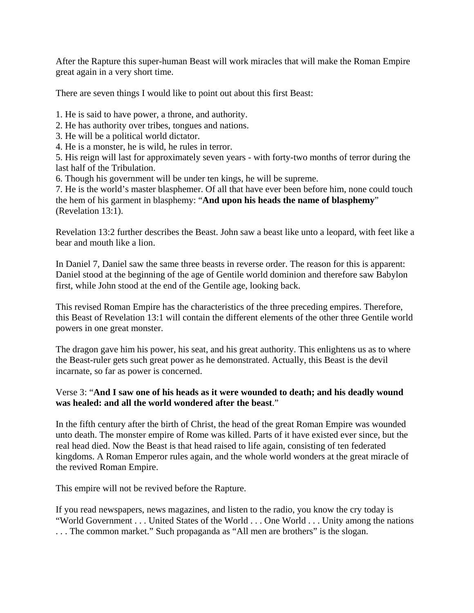After the Rapture this super-human Beast will work miracles that will make the Roman Empire great again in a very short time.

There are seven things I would like to point out about this first Beast:

1. He is said to have power, a throne, and authority.

- 2. He has authority over tribes, tongues and nations.
- 3. He will be a political world dictator.
- 4. He is a monster, he is wild, he rules in terror.

5. His reign will last for approximately seven years - with forty-two months of terror during the last half of the Tribulation.

6. Though his government will be under ten kings, he will be supreme.

7. He is the world's master blasphemer. Of all that have ever been before him, none could touch the hem of his garment in blasphemy: "**And upon his heads the name of blasphemy**" (Revelation 13:1).

Revelation 13:2 further describes the Beast. John saw a beast like unto a leopard, with feet like a bear and mouth like a lion.

In Daniel 7, Daniel saw the same three beasts in reverse order. The reason for this is apparent: Daniel stood at the beginning of the age of Gentile world dominion and therefore saw Babylon first, while John stood at the end of the Gentile age, looking back.

This revised Roman Empire has the characteristics of the three preceding empires. Therefore, this Beast of Revelation 13:1 will contain the different elements of the other three Gentile world powers in one great monster.

The dragon gave him his power, his seat, and his great authority. This enlightens us as to where the Beast-ruler gets such great power as he demonstrated. Actually, this Beast is the devil incarnate, so far as power is concerned.

## Verse 3: "**And I saw one of his heads as it were wounded to death; and his deadly wound was healed: and all the world wondered after the beast**."

In the fifth century after the birth of Christ, the head of the great Roman Empire was wounded unto death. The monster empire of Rome was killed. Parts of it have existed ever since, but the real head died. Now the Beast is that head raised to life again, consisting of ten federated kingdoms. A Roman Emperor rules again, and the whole world wonders at the great miracle of the revived Roman Empire.

This empire will not be revived before the Rapture.

If you read newspapers, news magazines, and listen to the radio, you know the cry today is "World Government . . . United States of the World . . . One World . . . Unity among the nations . . . The common market." Such propaganda as "All men are brothers" is the slogan.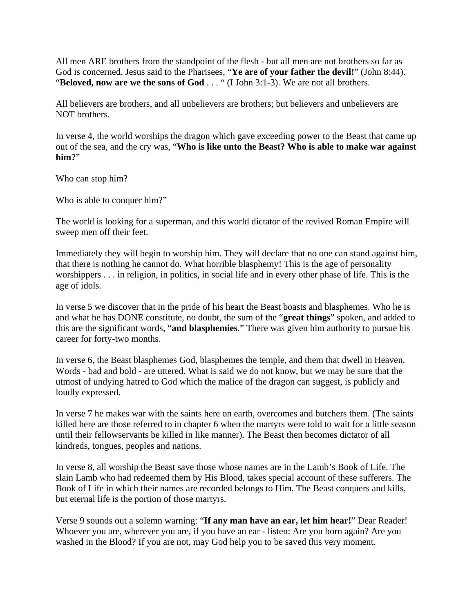All men ARE brothers from the standpoint of the flesh - but all men are not brothers so far as God is concerned. Jesus said to the Pharisees, "**Ye are of your father the devil!**" (John 8:44). "**Beloved, now are we the sons of God** . . . " (I John 3:1-3). We are not all brothers.

All believers are brothers, and all unbelievers are brothers; but believers and unbelievers are NOT brothers.

In verse 4, the world worships the dragon which gave exceeding power to the Beast that came up out of the sea, and the cry was, "**Who is like unto the Beast? Who is able to make war against him?**"

Who can stop him?

Who is able to conquer him?"

The world is looking for a superman, and this world dictator of the revived Roman Empire will sweep men off their feet.

Immediately they will begin to worship him. They will declare that no one can stand against him, that there is nothing he cannot do. What horrible blasphemy! This is the age of personality worshippers . . . in religion, in politics, in social life and in every other phase of life. This is the age of idols.

In verse 5 we discover that in the pride of his heart the Beast boasts and blasphemes. Who he is and what he has DONE constitute, no doubt, the sum of the "**great things**" spoken, and added to this are the significant words, "**and blasphemies**." There was given him authority to pursue his career for forty-two months.

In verse 6, the Beast blasphemes God, blasphemes the temple, and them that dwell in Heaven. Words - bad and bold - are uttered. What is said we do not know, but we may be sure that the utmost of undying hatred to God which the malice of the dragon can suggest, is publicly and loudly expressed.

In verse 7 he makes war with the saints here on earth, overcomes and butchers them. (The saints killed here are those referred to in chapter 6 when the martyrs were told to wait for a little season until their fellowservants be killed in like manner). The Beast then becomes dictator of all kindreds, tongues, peoples and nations.

In verse 8, all worship the Beast save those whose names are in the Lamb's Book of Life. The slain Lamb who had redeemed them by His Blood, takes special account of these sufferers. The Book of Life in which their names are recorded belongs to Him. The Beast conquers and kills, but eternal life is the portion of those martyrs.

Verse 9 sounds out a solemn warning: "**If any man have an ear, let him hear!**" Dear Reader! Whoever you are, wherever you are, if you have an ear - listen: Are you born again? Are you washed in the Blood? If you are not, may God help you to be saved this very moment.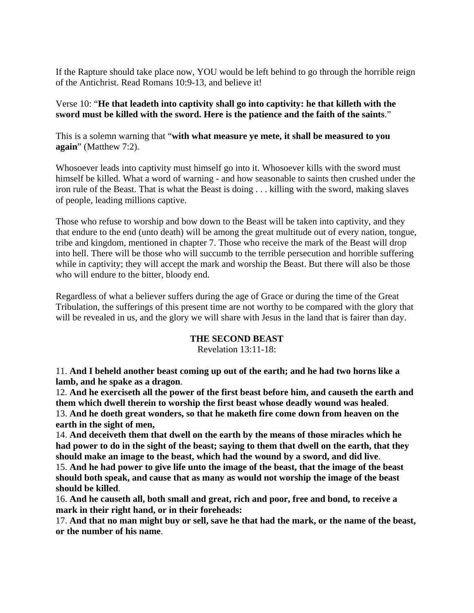If the Rapture should take place now, YOU would be left behind to go through the horrible reign of the Antichrist. Read Romans 10:9-13, and believe it!

Verse 10: "**He that leadeth into captivity shall go into captivity: he that killeth with the sword must be killed with the sword. Here is the patience and the faith of the saints**."

This is a solemn warning that "**with what measure ye mete, it shall be measured to you again**" (Matthew 7:2).

Whosoever leads into captivity must himself go into it. Whosoever kills with the sword must himself be killed. What a word of warning - and how seasonable to saints then crushed under the iron rule of the Beast. That is what the Beast is doing . . . killing with the sword, making slaves of people, leading millions captive.

Those who refuse to worship and bow down to the Beast will be taken into captivity, and they that endure to the end (unto death) will be among the great multitude out of every nation, tongue, tribe and kingdom, mentioned in chapter 7. Those who receive the mark of the Beast will drop into hell. There will be those who will succumb to the terrible persecution and horrible suffering while in captivity; they will accept the mark and worship the Beast. But there will also be those who will endure to the bitter, bloody end.

Regardless of what a believer suffers during the age of Grace or during the time of the Great Tribulation, the sufferings of this present time are not worthy to be compared with the glory that will be revealed in us, and the glory we will share with Jesus in the land that is fairer than day.

### **THE SECOND BEAST**

Revelation 13:11-18:

11. **And I beheld another beast coming up out of the earth; and he had two horns like a lamb, and he spake as a dragon**.

12. **And he exerciseth all the power of the first beast before him, and causeth the earth and them which dwell therein to worship the first beast whose deadly wound was healed**. 13. **And he doeth great wonders, so that he maketh fire come down from heaven on the earth in the sight of men,**

14. **And deceiveth them that dwell on the earth by the means of those miracles which he had power to do in the sight of the beast; saying to them that dwell on the earth, that they should make an image to the beast, which had the wound by a sword, and did live**.

15. **And he had power to give life unto the image of the beast, that the image of the beast should both speak, and cause that as many as would not worship the image of the beast should be killed**.

16. **And he causeth all, both small and great, rich and poor, free and bond, to receive a mark in their right hand, or in their foreheads:**

17. **And that no man might buy or sell, save he that had the mark, or the name of the beast, or the number of his name**.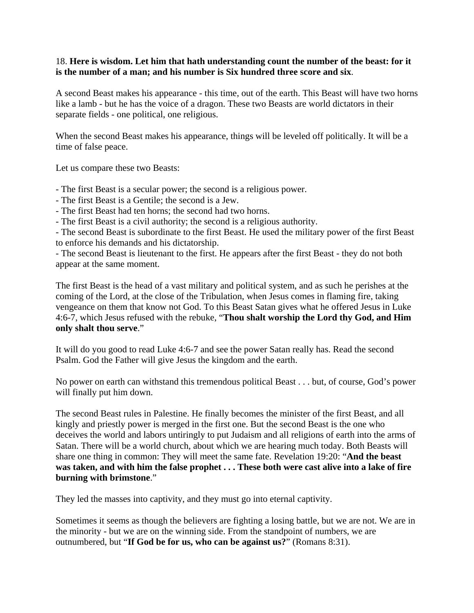### 18. **Here is wisdom. Let him that hath understanding count the number of the beast: for it is the number of a man; and his number is Six hundred three score and six**.

A second Beast makes his appearance - this time, out of the earth. This Beast will have two horns like a lamb - but he has the voice of a dragon. These two Beasts are world dictators in their separate fields - one political, one religious.

When the second Beast makes his appearance, things will be leveled off politically. It will be a time of false peace.

Let us compare these two Beasts:

- The first Beast is a secular power; the second is a religious power.

- The first Beast is a Gentile; the second is a Jew.

- The first Beast had ten horns; the second had two horns.

- The first Beast is a civil authority; the second is a religious authority.

- The second Beast is subordinate to the first Beast. He used the military power of the first Beast to enforce his demands and his dictatorship.

- The second Beast is lieutenant to the first. He appears after the first Beast - they do not both appear at the same moment.

The first Beast is the head of a vast military and political system, and as such he perishes at the coming of the Lord, at the close of the Tribulation, when Jesus comes in flaming fire, taking vengeance on them that know not God. To this Beast Satan gives what he offered Jesus in Luke 4:6-7, which Jesus refused with the rebuke, "**Thou shalt worship the Lord thy God, and Him only shalt thou serve**."

It will do you good to read Luke 4:6-7 and see the power Satan really has. Read the second Psalm. God the Father will give Jesus the kingdom and the earth.

No power on earth can withstand this tremendous political Beast . . . but, of course, God's power will finally put him down.

The second Beast rules in Palestine. He finally becomes the minister of the first Beast, and all kingly and priestly power is merged in the first one. But the second Beast is the one who deceives the world and labors untiringly to put Judaism and all religions of earth into the arms of Satan. There will be a world church, about which we are hearing much today. Both Beasts will share one thing in common: They will meet the same fate. Revelation 19:20: "**And the beast was taken, and with him the false prophet . . . These both were cast alive into a lake of fire burning with brimstone**."

They led the masses into captivity, and they must go into eternal captivity.

Sometimes it seems as though the believers are fighting a losing battle, but we are not. We are in the minority - but we are on the winning side. From the standpoint of numbers, we are outnumbered, but "**If God be for us, who can be against us?**" (Romans 8:31).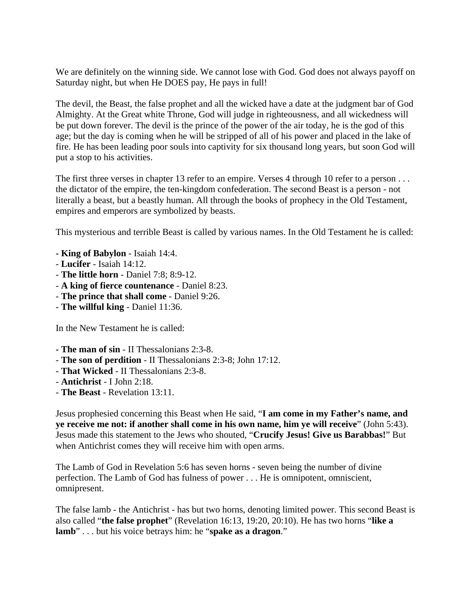We are definitely on the winning side. We cannot lose with God. God does not always payoff on Saturday night, but when He DOES pay, He pays in full!

The devil, the Beast, the false prophet and all the wicked have a date at the judgment bar of God Almighty. At the Great white Throne, God will judge in righteousness, and all wickedness will be put down forever. The devil is the prince of the power of the air today, he is the god of this age; but the day is coming when he will be stripped of all of his power and placed in the lake of fire. He has been leading poor souls into captivity for six thousand long years, but soon God will put a stop to his activities.

The first three verses in chapter 13 refer to an empire. Verses 4 through 10 refer to a person . . . the dictator of the empire, the ten-kingdom confederation. The second Beast is a person - not literally a beast, but a beastly human. All through the books of prophecy in the Old Testament, empires and emperors are symbolized by beasts.

This mysterious and terrible Beast is called by various names. In the Old Testament he is called:

- **King of Babylon** Isaiah 14:4.
- **Lucifer** Isaiah 14:12.
- **The little horn** Daniel 7:8; 8:9-12.
- **A king of fierce countenance** Daniel 8:23.
- **The prince that shall come** Daniel 9:26.
- **The willful king** Daniel 11:36.

In the New Testament he is called:

- **The man of sin** II Thessalonians 2:3-8.
- **The son of perdition** II Thessalonians 2:3-8; John 17:12.
- **That Wicked** II Thessalonians 2:3-8.
- **Antichrist** I John 2:18.
- **The Beast** Revelation 13:11.

Jesus prophesied concerning this Beast when He said, "**I am come in my Father's name, and ye receive me not: if another shall come in his own name, him ye will receive**" (John 5:43). Jesus made this statement to the Jews who shouted, "**Crucify Jesus! Give us Barabbas!**" But when Antichrist comes they will receive him with open arms.

The Lamb of God in Revelation 5:6 has seven horns - seven being the number of divine perfection. The Lamb of God has fulness of power . . . He is omnipotent, omniscient, omnipresent.

The false lamb - the Antichrist - has but two horns, denoting limited power. This second Beast is also called "**the false prophet**" (Revelation 16:13, 19:20, 20:10). He has two horns "**like a lamb**" . . . but his voice betrays him: he "**spake as a dragon**."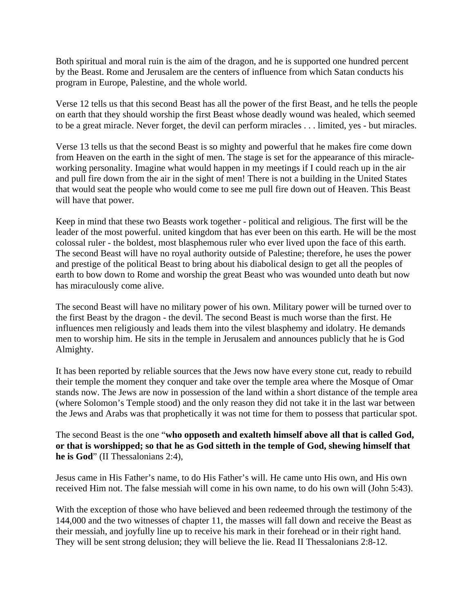Both spiritual and moral ruin is the aim of the dragon, and he is supported one hundred percent by the Beast. Rome and Jerusalem are the centers of influence from which Satan conducts his program in Europe, Palestine, and the whole world.

Verse 12 tells us that this second Beast has all the power of the first Beast, and he tells the people on earth that they should worship the first Beast whose deadly wound was healed, which seemed to be a great miracle. Never forget, the devil can perform miracles . . . limited, yes - but miracles.

Verse 13 tells us that the second Beast is so mighty and powerful that he makes fire come down from Heaven on the earth in the sight of men. The stage is set for the appearance of this miracleworking personality. Imagine what would happen in my meetings if I could reach up in the air and pull fire down from the air in the sight of men! There is not a building in the United States that would seat the people who would come to see me pull fire down out of Heaven. This Beast will have that power.

Keep in mind that these two Beasts work together - political and religious. The first will be the leader of the most powerful. united kingdom that has ever been on this earth. He will be the most colossal ruler - the boldest, most blasphemous ruler who ever lived upon the face of this earth. The second Beast will have no royal authority outside of Palestine; therefore, he uses the power and prestige of the political Beast to bring about his diabolical design to get all the peoples of earth to bow down to Rome and worship the great Beast who was wounded unto death but now has miraculously come alive.

The second Beast will have no military power of his own. Military power will be turned over to the first Beast by the dragon - the devil. The second Beast is much worse than the first. He influences men religiously and leads them into the vilest blasphemy and idolatry. He demands men to worship him. He sits in the temple in Jerusalem and announces publicly that he is God Almighty.

It has been reported by reliable sources that the Jews now have every stone cut, ready to rebuild their temple the moment they conquer and take over the temple area where the Mosque of Omar stands now. The Jews are now in possession of the land within a short distance of the temple area (where Solomon's Temple stood) and the only reason they did not take it in the last war between the Jews and Arabs was that prophetically it was not time for them to possess that particular spot.

The second Beast is the one "**who opposeth and exalteth himself above all that is called God, or that is worshipped; so that he as God sitteth in the temple of God, shewing himself that he is God**" (II Thessalonians 2:4),

Jesus came in His Father's name, to do His Father's will. He came unto His own, and His own received Him not. The false messiah will come in his own name, to do his own will (John 5:43).

With the exception of those who have believed and been redeemed through the testimony of the 144,000 and the two witnesses of chapter 11, the masses will fall down and receive the Beast as their messiah, and joyfully line up to receive his mark in their forehead or in their right hand. They will be sent strong delusion; they will believe the lie. Read II Thessalonians 2:8-12.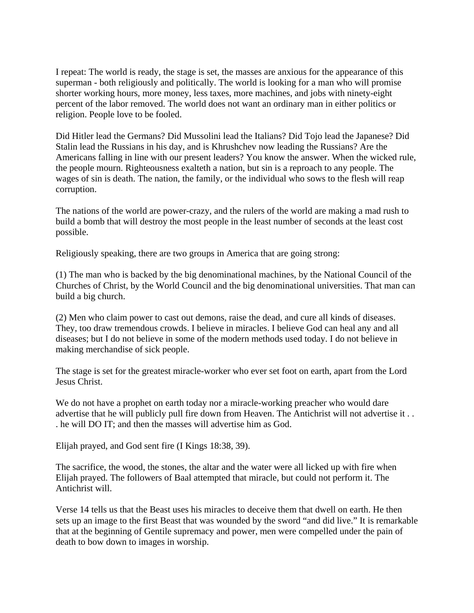I repeat: The world is ready, the stage is set, the masses are anxious for the appearance of this superman - both religiously and politically. The world is looking for a man who will promise shorter working hours, more money, less taxes, more machines, and jobs with ninety-eight percent of the labor removed. The world does not want an ordinary man in either politics or religion. People love to be fooled.

Did Hitler lead the Germans? Did Mussolini lead the Italians? Did Tojo lead the Japanese? Did Stalin lead the Russians in his day, and is Khrushchev now leading the Russians? Are the Americans falling in line with our present leaders? You know the answer. When the wicked rule, the people mourn. Righteousness exalteth a nation, but sin is a reproach to any people. The wages of sin is death. The nation, the family, or the individual who sows to the flesh will reap corruption.

The nations of the world are power-crazy, and the rulers of the world are making a mad rush to build a bomb that will destroy the most people in the least number of seconds at the least cost possible.

Religiously speaking, there are two groups in America that are going strong:

(1) The man who is backed by the big denominational machines, by the National Council of the Churches of Christ, by the World Council and the big denominational universities. That man can build a big church.

(2) Men who claim power to cast out demons, raise the dead, and cure all kinds of diseases. They, too draw tremendous crowds. I believe in miracles. I believe God can heal any and all diseases; but I do not believe in some of the modern methods used today. I do not believe in making merchandise of sick people.

The stage is set for the greatest miracle-worker who ever set foot on earth, apart from the Lord Jesus Christ.

We do not have a prophet on earth today nor a miracle-working preacher who would dare advertise that he will publicly pull fire down from Heaven. The Antichrist will not advertise it . . . he will DO IT; and then the masses will advertise him as God.

Elijah prayed, and God sent fire (I Kings 18:38, 39).

The sacrifice, the wood, the stones, the altar and the water were all licked up with fire when Elijah prayed. The followers of Baal attempted that miracle, but could not perform it. The Antichrist will.

Verse 14 tells us that the Beast uses his miracles to deceive them that dwell on earth. He then sets up an image to the first Beast that was wounded by the sword "and did live." It is remarkable that at the beginning of Gentile supremacy and power, men were compelled under the pain of death to bow down to images in worship.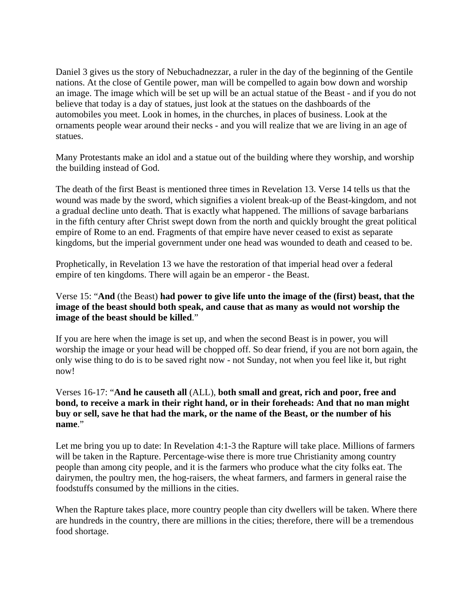Daniel 3 gives us the story of Nebuchadnezzar, a ruler in the day of the beginning of the Gentile nations. At the close of Gentile power, man will be compelled to again bow down and worship an image. The image which will be set up will be an actual statue of the Beast - and if you do not believe that today is a day of statues, just look at the statues on the dashboards of the automobiles you meet. Look in homes, in the churches, in places of business. Look at the ornaments people wear around their necks - and you will realize that we are living in an age of statues.

Many Protestants make an idol and a statue out of the building where they worship, and worship the building instead of God.

The death of the first Beast is mentioned three times in Revelation 13. Verse 14 tells us that the wound was made by the sword, which signifies a violent break-up of the Beast-kingdom, and not a gradual decline unto death. That is exactly what happened. The millions of savage barbarians in the fifth century after Christ swept down from the north and quickly brought the great political empire of Rome to an end. Fragments of that empire have never ceased to exist as separate kingdoms, but the imperial government under one head was wounded to death and ceased to be.

Prophetically, in Revelation 13 we have the restoration of that imperial head over a federal empire of ten kingdoms. There will again be an emperor - the Beast.

## Verse 15: "**And** (the Beast) **had power to give life unto the image of the (first) beast, that the image of the beast should both speak, and cause that as many as would not worship the image of the beast should be killed**."

If you are here when the image is set up, and when the second Beast is in power, you will worship the image or your head will be chopped off. So dear friend, if you are not born again, the only wise thing to do is to be saved right now - not Sunday, not when you feel like it, but right now!

## Verses 16-17: "**And he causeth all** (ALL), **both small and great, rich and poor, free and bond, to receive a mark in their right hand, or in their foreheads: And that no man might buy or sell, save he that had the mark, or the name of the Beast, or the number of his name**."

Let me bring you up to date: In Revelation 4:1-3 the Rapture will take place. Millions of farmers will be taken in the Rapture. Percentage-wise there is more true Christianity among country people than among city people, and it is the farmers who produce what the city folks eat. The dairymen, the poultry men, the hog-raisers, the wheat farmers, and farmers in general raise the foodstuffs consumed by the millions in the cities.

When the Rapture takes place, more country people than city dwellers will be taken. Where there are hundreds in the country, there are millions in the cities; therefore, there will be a tremendous food shortage.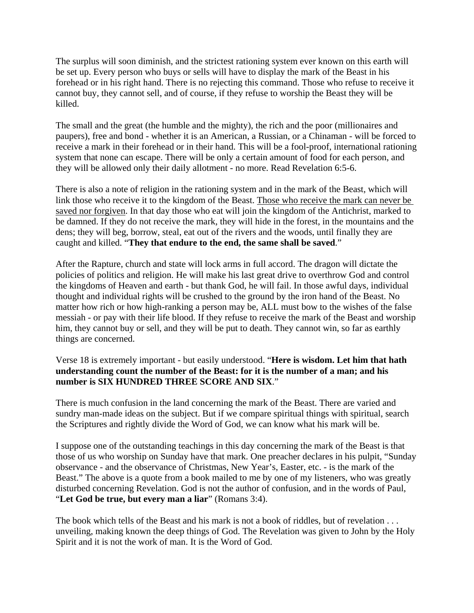The surplus will soon diminish, and the strictest rationing system ever known on this earth will be set up. Every person who buys or sells will have to display the mark of the Beast in his forehead or in his right hand. There is no rejecting this command. Those who refuse to receive it cannot buy, they cannot sell, and of course, if they refuse to worship the Beast they will be killed.

The small and the great (the humble and the mighty), the rich and the poor (millionaires and paupers), free and bond - whether it is an American, a Russian, or a Chinaman - will be forced to receive a mark in their forehead or in their hand. This will be a fool-proof, international rationing system that none can escape. There will be only a certain amount of food for each person, and they will be allowed only their daily allotment - no more. Read Revelation 6:5-6.

There is also a note of religion in the rationing system and in the mark of the Beast, which will link those who receive it to the kingdom of the Beast. Those who receive the mark can never be saved nor forgiven. In that day those who eat will join the kingdom of the Antichrist, marked to be damned. If they do not receive the mark, they will hide in the forest, in the mountains and the dens; they will beg, borrow, steal, eat out of the rivers and the woods, until finally they are caught and killed. "**They that endure to the end, the same shall be saved**."

After the Rapture, church and state will lock arms in full accord. The dragon will dictate the policies of politics and religion. He will make his last great drive to overthrow God and control the kingdoms of Heaven and earth - but thank God, he will fail. In those awful days, individual thought and individual rights will be crushed to the ground by the iron hand of the Beast. No matter how rich or how high-ranking a person may be, ALL must bow to the wishes of the false messiah - or pay with their life blood. If they refuse to receive the mark of the Beast and worship him, they cannot buy or sell, and they will be put to death. They cannot win, so far as earthly things are concerned.

## Verse 18 is extremely important - but easily understood. "**Here is wisdom. Let him that hath understanding count the number of the Beast: for it is the number of a man; and his number is SIX HUNDRED THREE SCORE AND SIX**."

There is much confusion in the land concerning the mark of the Beast. There are varied and sundry man-made ideas on the subject. But if we compare spiritual things with spiritual, search the Scriptures and rightly divide the Word of God, we can know what his mark will be.

I suppose one of the outstanding teachings in this day concerning the mark of the Beast is that those of us who worship on Sunday have that mark. One preacher declares in his pulpit, "Sunday observance - and the observance of Christmas, New Year's, Easter, etc. - is the mark of the Beast." The above is a quote from a book mailed to me by one of my listeners, who was greatly disturbed concerning Revelation. God is not the author of confusion, and in the words of Paul, "**Let God be true, but every man a liar**" (Romans 3:4).

The book which tells of the Beast and his mark is not a book of riddles, but of revelation . . . unveiling, making known the deep things of God. The Revelation was given to John by the Holy Spirit and it is not the work of man. It is the Word of God.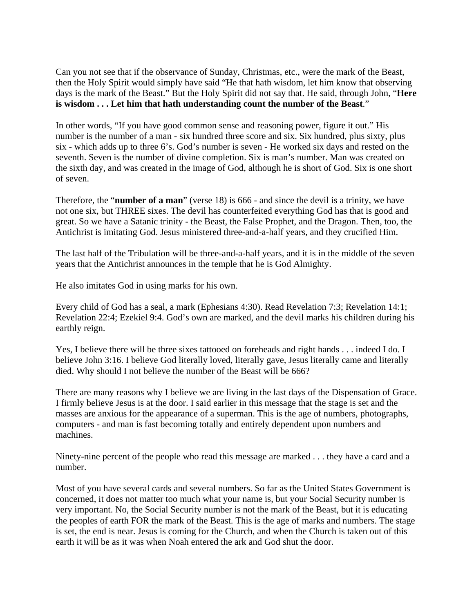Can you not see that if the observance of Sunday, Christmas, etc., were the mark of the Beast, then the Holy Spirit would simply have said "He that hath wisdom, let him know that observing days is the mark of the Beast." But the Holy Spirit did not say that. He said, through John, "**Here is wisdom . . . Let him that hath understanding count the number of the Beast**."

In other words, "If you have good common sense and reasoning power, figure it out." His number is the number of a man - six hundred three score and six. Six hundred, plus sixty, plus six - which adds up to three 6's. God's number is seven - He worked six days and rested on the seventh. Seven is the number of divine completion. Six is man's number. Man was created on the sixth day, and was created in the image of God, although he is short of God. Six is one short of seven.

Therefore, the "**number of a man**" (verse 18) is 666 - and since the devil is a trinity, we have not one six, but THREE sixes. The devil has counterfeited everything God has that is good and great. So we have a Satanic trinity - the Beast, the False Prophet, and the Dragon. Then, too, the Antichrist is imitating God. Jesus ministered three-and-a-half years, and they crucified Him.

The last half of the Tribulation will be three-and-a-half years, and it is in the middle of the seven years that the Antichrist announces in the temple that he is God Almighty.

He also imitates God in using marks for his own.

Every child of God has a seal, a mark (Ephesians 4:30). Read Revelation 7:3; Revelation 14:1; Revelation 22:4; Ezekiel 9:4. God's own are marked, and the devil marks his children during his earthly reign.

Yes, I believe there will be three sixes tattooed on foreheads and right hands . . . indeed I do. I believe John 3:16. I believe God literally loved, literally gave, Jesus literally came and literally died. Why should I not believe the number of the Beast will be 666?

There are many reasons why I believe we are living in the last days of the Dispensation of Grace. I firmly believe Jesus is at the door. I said earlier in this message that the stage is set and the masses are anxious for the appearance of a superman. This is the age of numbers, photographs, computers - and man is fast becoming totally and entirely dependent upon numbers and machines.

Ninety-nine percent of the people who read this message are marked . . . they have a card and a number.

Most of you have several cards and several numbers. So far as the United States Government is concerned, it does not matter too much what your name is, but your Social Security number is very important. No, the Social Security number is not the mark of the Beast, but it is educating the peoples of earth FOR the mark of the Beast. This is the age of marks and numbers. The stage is set, the end is near. Jesus is coming for the Church, and when the Church is taken out of this earth it will be as it was when Noah entered the ark and God shut the door.